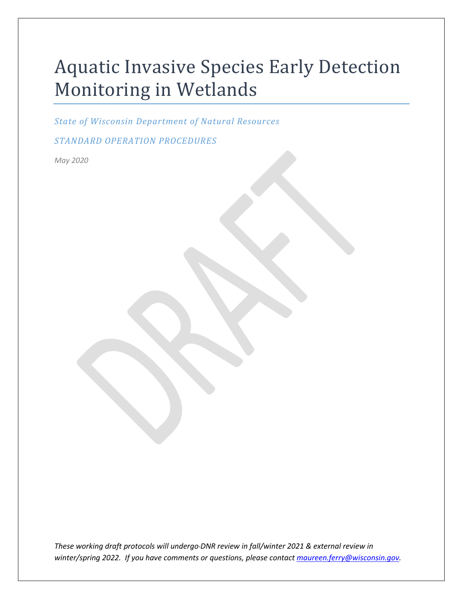# Aquatic Invasive Species Early Detection Monitoring in Wetlands

*State of Wisconsin Department of Natural Resources*

*STANDARD OPERATION PROCEDURES*

*May 2020*

*These working draft protocols will undergo DNR review in fall/winter 2021 & external review in winter/spring 2022. If you have comments or questions, please contact [maureen.ferry@wisconsin.gov.](mailto:maureen.ferry@wisconsin.gov)*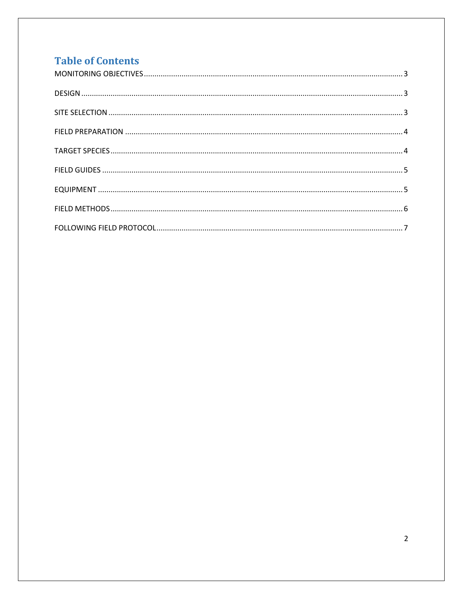## **Table of Contents**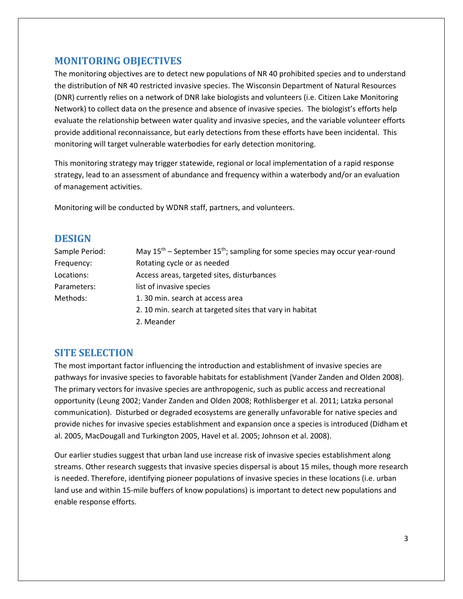## <span id="page-2-0"></span>**MONITORING OBJECTIVES**

The monitoring objectives are to detect new populations of NR 40 prohibited species and to understand the distribution of NR 40 restricted invasive species. The Wisconsin Department of Natural Resources (DNR) currently relies on a network of DNR lake biologists and volunteers (i.e. Citizen Lake Monitoring Network) to collect data on the presence and absence of invasive species. The biologist's efforts help evaluate the relationship between water quality and invasive species, and the variable volunteer efforts provide additional reconnaissance, but early detections from these efforts have been incidental. This monitoring will target vulnerable waterbodies for early detection monitoring.

This monitoring strategy may trigger statewide, regional or local implementation of a rapid response strategy, lead to an assessment of abundance and frequency within a waterbody and/or an evaluation of management activities.

Monitoring will be conducted by WDNR staff, partners, and volunteers.

## <span id="page-2-1"></span>**DESIGN**

| Sample Period: | May $15th$ – September $15th$ ; sampling for some species may occur year-round |
|----------------|--------------------------------------------------------------------------------|
| Frequency:     | Rotating cycle or as needed                                                    |
| Locations:     | Access areas, targeted sites, disturbances                                     |
| Parameters:    | list of invasive species                                                       |
| Methods:       | 1.30 min. search at access area                                                |
|                | 2. 10 min. search at targeted sites that vary in habitat                       |
|                | 2. Meander                                                                     |

## <span id="page-2-2"></span>**SITE SELECTION**

The most important factor influencing the introduction and establishment of invasive species are pathways for invasive species to favorable habitats for establishment (Vander Zanden and Olden 2008). The primary vectors for invasive species are anthropogenic, such as public access and recreational opportunity (Leung 2002; Vander Zanden and Olden 2008; Rothlisberger et al. 2011; Latzka personal communication). Disturbed or degraded ecosystems are generally unfavorable for native species and provide niches for invasive species establishment and expansion once a species is introduced (Didham et al. 2005, MacDougall and Turkington 2005, Havel et al. 2005; Johnson et al. 2008).

Our earlier studies suggest that urban land use increase risk of invasive species establishment along streams. Other research suggests that invasive species dispersal is about 15 miles, though more research is needed. Therefore, identifying pioneer populations of invasive species in these locations (i.e. urban land use and within 15-mile buffers of know populations) is important to detect new populations and enable response efforts.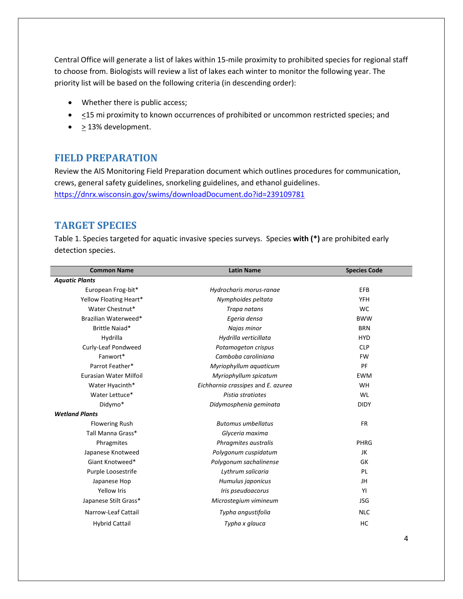Central Office will generate a list of lakes within 15-mile proximity to prohibited species for regional staff to choose from. Biologists will review a list of lakes each winter to monitor the following year. The priority list will be based on the following criteria (in descending order):

- Whether there is public access;
- <15 mi proximity to known occurrences of prohibited or uncommon restricted species; and
- <span id="page-3-0"></span>•  $\geq$  13% development.

## **FIELD PREPARATION**

Review the AIS Monitoring Field Preparation document which outlines procedures for communication, crews, general safety guidelines, snorkeling guidelines, and ethanol guidelines. <https://dnrx.wisconsin.gov/swims/downloadDocument.do?id=239109781>

## <span id="page-3-1"></span>**TARGET SPECIES**

Table 1. Species targeted for aquatic invasive species surveys. Species **with (\*)** are prohibited early detection species.

| <b>Common Name</b>     | <b>Latin Name</b>                  | <b>Species Code</b> |
|------------------------|------------------------------------|---------------------|
| <b>Aquatic Plants</b>  |                                    |                     |
| European Frog-bit*     | Hydrocharis morus-ranae            | EFB                 |
| Yellow Floating Heart* | Nymphoides peltata                 | <b>YFH</b>          |
| Water Chestnut*        | Trapa natans                       | <b>WC</b>           |
| Brazilian Waterweed*   | Egeria densa                       | <b>BWW</b>          |
| Brittle Naiad*         | Najas minor                        | <b>BRN</b>          |
| Hydrilla               | Hydrilla verticillata              | <b>HYD</b>          |
| Curly-Leaf Pondweed    | Potamogeton crispus                | <b>CLP</b>          |
| Fanwort*               | Camboba caroliniana                | <b>FW</b>           |
| Parrot Feather*        | Myriophyllum aquaticum             | PF                  |
| Eurasian Water Milfoil | Myriophyllum spicatum              | <b>EWM</b>          |
| Water Hyacinth*        | Eichhornia crassipes and E. azurea | WH                  |
| Water Lettuce*         | Pistia stratiotes                  | WL                  |
| Didymo*                | Didymosphenia geminata             | <b>DIDY</b>         |
| <b>Wetland Plants</b>  |                                    |                     |
| <b>Flowering Rush</b>  | <b>Butomus umbellatus</b>          | <b>FR</b>           |
| Tall Manna Grass*      | Glyceria maxima                    |                     |
| Phragmites             | Phragmites australis               | PHRG                |
| Japanese Knotweed      | Polygonum cuspidatum               | JK                  |
| Giant Knotweed*        | Polygonum sachalinense             | GK                  |
| Purple Loosestrife     | Lythrum salicaria                  | PL                  |
| Japanese Hop           | Humulus japonicus                  | JH                  |
| <b>Yellow Iris</b>     | Iris pseudoacorus                  | YI                  |
| Japanese Stilt Grass*  | Microstegium vimineum              | <b>JSG</b>          |
| Narrow-Leaf Cattail    | Typha angustifolia                 | <b>NLC</b>          |
| <b>Hybrid Cattail</b>  | Typha x glauca                     | <b>HC</b>           |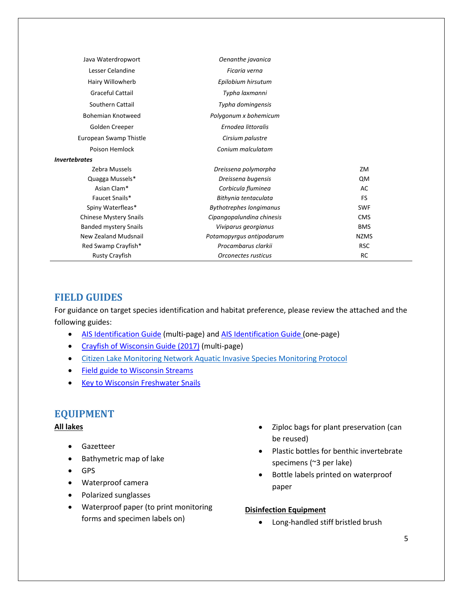| Java Waterdropwort                 | Oenanthe javanica              |             |
|------------------------------------|--------------------------------|-------------|
| Lesser Celandine                   | Ficaria verna                  |             |
| Hairy Willowherb                   | Epilobium hirsutum             |             |
| Graceful Cattail                   | Typha laxmanni                 |             |
| Southern Cattail                   | Typha domingensis              |             |
| <b>Bohemian Knotweed</b>           | Polygonum x bohemicum          |             |
| Golden Creeper                     | Ernodea littoralis             |             |
| European Swamp Thistle             | Cirsium palustre               |             |
| Poison Hemlock                     | Conium malculatam              |             |
| <i><u><b>Invertebrates</b></u></i> |                                |             |
| Zebra Mussels                      | Dreissena polymorpha           | ZM          |
| Quagga Mussels*                    | Dreissena bugensis             | <b>QM</b>   |
| Asian Clam*                        | Corbicula fluminea             | AC          |
| Faucet Snails*                     | Bithynia tentaculata           | FS          |
| Spiny Waterfleas*                  | <b>Bythotrephes longimanus</b> | <b>SWF</b>  |
| <b>Chinese Mystery Snails</b>      | Cipangopalundina chinesis      | <b>CMS</b>  |
| <b>Banded mystery Snails</b>       | Viviparus georgianus           | <b>BMS</b>  |
| New Zealand Mudsnail               | Potamopyrgus antipodarum       | <b>NZMS</b> |
| Red Swamp Crayfish*                | Procambarus clarkii            | <b>RSC</b>  |
| <b>Rusty Crayfish</b>              | Orconectes rusticus            | <b>RC</b>   |

## <span id="page-4-0"></span>**FIELD GUIDES**

For guidance on target species identification and habitat preference, please review the attached and the following guides:

- [AIS Identification](https://dnrx.wisconsin.gov/swims/downloadDocument.do?id=191057878) Guide (multi-page) an[d AIS Identification Guide \(](https://dnrx.wisconsin.gov/swims/downloadDocument.do?id=145709797)one-page)
- [Crayfish of Wisconsin Guide \(2017\)](https://dnrx.wisconsin.gov/swims/downloadDocument.do?id=145709811) (multi-page)
- [Citizen Lake Monitoring Network Aquatic Invasive Species Monitoring](https://www.uwsp.edu/cnr-ap/UWEXLakes/Pages/programs/clmn/AIS.aspx) Protocol
- [Field guide to Wisconsin Streams](http://uwpress.wisc.edu/books/4887.htm)
- <span id="page-4-1"></span>• [Key to Wisconsin Freshwater Snails](http://northamericanlandsnails.org/WIFreshwaterSnailskey/wifwsnailkey.html)

## **EQUIPMENT**

#### **All lakes**

- Gazetteer
- Bathymetric map of lake
- GPS
- Waterproof camera
- Polarized sunglasses
- Waterproof paper (to print monitoring forms and specimen labels on)
- Ziploc bags for plant preservation (can be reused)
- Plastic bottles for benthic invertebrate specimens (~3 per lake)
- Bottle labels printed on waterproof paper

#### **Disinfection Equipment**

• Long-handled stiff bristled brush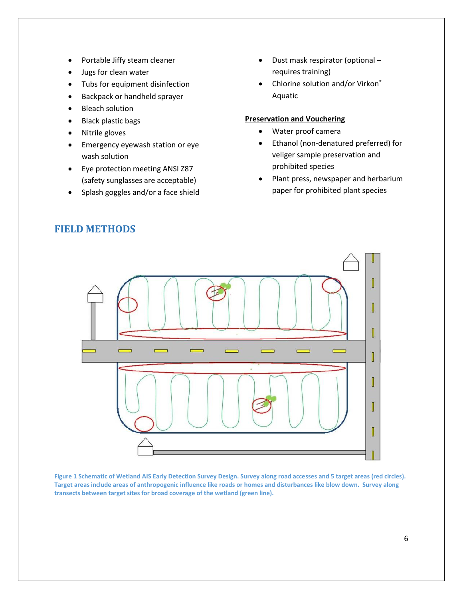- Portable Jiffy steam cleaner
- Jugs for clean water
- Tubs for equipment disinfection
- Backpack or handheld sprayer
- **Bleach solution**
- Black plastic bags
- Nitrile gloves
- Emergency eyewash station or eye wash solution
- Eye protection meeting ANSI Z87 (safety sunglasses are acceptable)
- <span id="page-5-0"></span>• Splash goggles and/or a face shield
- Dust mask respirator (optional requires training)
- Chlorine solution and/or Virkon® Aquatic

#### **Preservation and Vouchering**

- Water proof camera
- Ethanol (non-denatured preferred) for veliger sample preservation and prohibited species
- Plant press, newspaper and herbarium paper for prohibited plant species



**Figure 1 Schematic of Wetland AIS Early Detection Survey Design. Survey along road accesses and 5 target areas (red circles). Target areas include areas of anthropogenic influence like roads or homes and disturbances like blow down. Survey along transects between target sites for broad coverage of the wetland (green line).**

## **FIELD METHODS**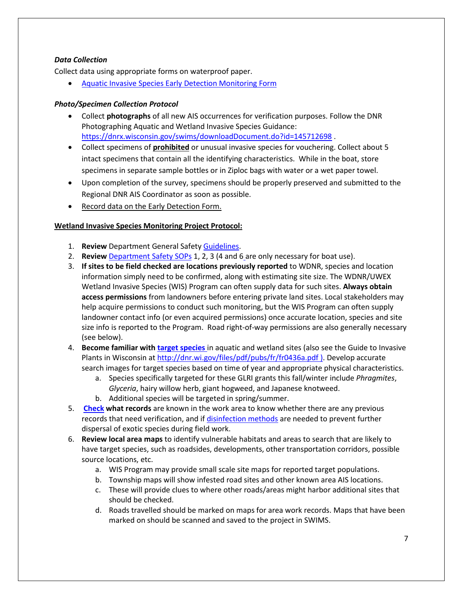### *Data Collection*

Collect data using appropriate forms on waterproof paper.

• [Aquatic Invasive Species Early Detection Monitoring Form](https://dnrx.wisconsin.gov/swims/downloadDocument.do?id=188257948)

#### *Photo/Specimen Collection Protocol*

- Collect **photographs** of all new AIS occurrences for verification purposes. Follow the DNR Photographing Aquatic and Wetland Invasive Species Guidance: <https://dnrx.wisconsin.gov/swims/downloadDocument.do?id=145712698>.
- Collect specimens of **prohibited** or unusual invasive species for vouchering. Collect about 5 intact specimens that contain all the identifying characteristics. While in the boat, store specimens in separate sample bottles or in Ziploc bags with water or a wet paper towel.
- Upon completion of the survey, specimens should be properly preserved and submitted to the Regional DNR AIS Coordinator as soon as possible.
- Record data on the Early Detection Form.

## <span id="page-6-0"></span>**Wetland Invasive Species Monitoring Project Protocol:**

- 1. **Review** Department General Safety [Guidelines.](https://prodoasint.dnr.wi.gov/swims/downloadDocument.do?id=151798568)
- 2. **Review** [Department Safety SOPs](http://intranet.dnr.state.wi.us/int/water/safety/index.html) 1, 2, 3 (4 and 6 are only necessary for boat use).
- 3. **If sites to be field checked are locations previously reported** to WDNR, species and location information simply need to be confirmed, along with estimating site size. The WDNR/UWEX Wetland Invasive Species (WIS) Program can often supply data for such sites. **Always obtain access permissions** from landowners before entering private land sites. Local stakeholders may help acquire permissions to conduct such monitoring, but the WIS Program can often supply landowner contact info (or even acquired permissions) once accurate location, species and site size info is reported to the Program. Road right-of-way permissions are also generally necessary (see below).
- 4. **Become familiar with [target species](https://dnrx.wisconsin.gov/swims/downloadDocument.do?id=145709781)** in aquatic and wetland sites (also see the Guide to Invasive Plants in Wisconsin at<http://dnr.wi.gov/files/pdf/pubs/fr/fr0436a.pdf> ). Develop accurate search images for target species based on time of year and appropriate physical characteristics.
	- a. Species specifically targeted for these GLRI grants this fall/winter include *Phragmites*, *Glyceria*, hairy willow herb, giant hogweed, and Japanese knotweed.
	- b. Additional species will be targeted in spring/summer.
- 5. **[Check](https://dnrx.wisconsin.gov/swims/downloadDocument.do?id=126471317) what records** are known in the work area to know whether there are any previous records that need verification, and if [disinfection methods](http://dnrx.wisconsin.gov/swims/downloadDocument.do?id=126472445) are needed to prevent further dispersal of exotic species during field work.
- 6. **Review local area maps** to identify vulnerable habitats and areas to search that are likely to have target species, such as roadsides, developments, other transportation corridors, possible source locations, etc.
	- a. WIS Program may provide small scale site maps for reported target populations.
	- b. Township maps will show infested road sites and other known area AIS locations.
	- c. These will provide clues to where other roads/areas might harbor additional sites that should be checked.
	- d. Roads travelled should be marked on maps for area work records. Maps that have been marked on should be scanned and saved to the project in SWIMS.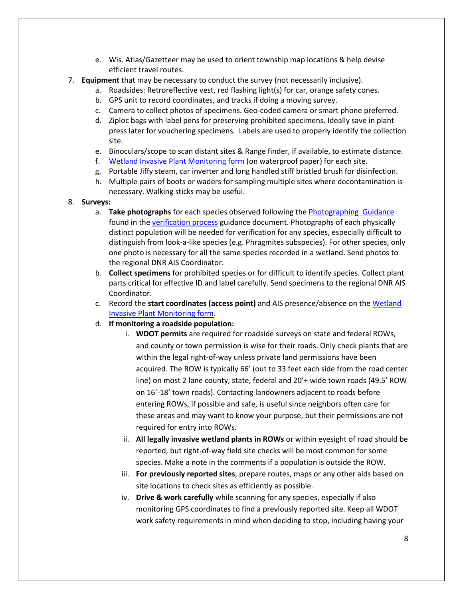- e. Wis. Atlas/Gazetteer may be used to orient township map locations & help devise efficient travel routes.
- 7. **Equipment** that may be necessary to conduct the survey (not necessarily inclusive).
	- a. Roadsides: Retroreflective vest, red flashing light(s) for car, orange safety cones.
	- b. GPS unit to record coordinates, and tracks if doing a moving survey.
	- c. Camera to collect photos of specimens. Geo-coded camera or smart phone preferred.
	- d. Ziploc bags with label pens for preserving prohibited specimens. Ideally save in plant press later for vouchering specimens. Labels are used to properly identify the collection site.
	- e. Binoculars/scope to scan distant sites & Range finder, if available, to estimate distance.
	- f. [Wetland Invasive Plant Monitoring form](https://dnrx.wisconsin.gov/swims/downloadDocument.do?id=133901217) (on waterproof paper) for each site.
	- g. Portable Jiffy steam, car inverter and long handled stiff bristled brush for disinfection.
	- h. Multiple pairs of boots or waders for sampling multiple sites where decontamination is necessary. Walking sticks may be useful.
- 8. **Surveys:**
	- a. **Take photographs** for each species observed following the [Photographing Guidance](https://dnrx.wisconsin.gov/swims/downloadDocument.do?id=145712698) found in the [verification process](https://dnrx.wisconsin.gov/swims/downloadDocument.do?id=145713313) guidance document. Photographs of each physically distinct population will be needed for verification for any species, especially difficult to distinguish from look-a-like species (e.g. Phragmites subspecies). For other species, only one photo is necessary for all the same species recorded in a wetland. Send photos to the regional DNR AIS Coordinator.
	- b. **Collect specimens** for prohibited species or for difficult to identify species. Collect plant parts critical for effective ID and label carefully. Send specimens to the regional DNR AIS Coordinator.
	- c. Record the **start coordinates (access point)** and AIS presence/absence on th[e Wetland](https://dnrx.wisconsin.gov/swims/downloadDocument.do?id=133901217)  [Invasive Plant Monitoring form.](https://dnrx.wisconsin.gov/swims/downloadDocument.do?id=133901217)
	- d. **If monitoring a roadside population:**
		- i. **WDOT permits** are required for roadside surveys on state and federal ROWs, and county or town permission is wise for their roads. Only check plants that are within the legal right-of-way unless private land permissions have been acquired. The ROW is typically 66' (out to 33 feet each side from the road center line) on most 2 lane county, state, federal and 20'+ wide town roads (49.5' ROW on 16'-18' town roads). Contacting landowners adjacent to roads before entering ROWs, if possible and safe, is useful since neighbors often care for these areas and may want to know your purpose, but their permissions are not required for entry into ROWs.
		- ii. **All legally invasive wetland plants in ROWs** or within eyesight of road should be reported, but right-of-way field site checks will be most common for some species. Make a note in the comments if a population is outside the ROW.
		- iii. **For previously reported sites**, prepare routes, maps or any other aids based on site locations to check sites as efficiently as possible.
		- iv. **Drive & work carefully** while scanning for any species, especially if also monitoring GPS coordinates to find a previously reported site. Keep all WDOT work safety requirements in mind when deciding to stop, including having your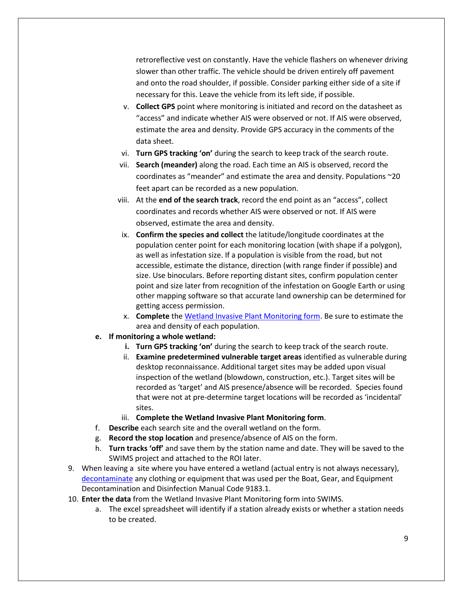retroreflective vest on constantly. Have the vehicle flashers on whenever driving slower than other traffic. The vehicle should be driven entirely off pavement and onto the road shoulder, if possible. Consider parking either side of a site if necessary for this. Leave the vehicle from its left side, if possible.

- v. **Collect GPS** point where monitoring is initiated and record on the datasheet as "access" and indicate whether AIS were observed or not. If AIS were observed, estimate the area and density. Provide GPS accuracy in the comments of the data sheet.
- vi. **Turn GPS tracking 'on'** during the search to keep track of the search route.
- vii. **Search (meander)** along the road. Each time an AIS is observed, record the coordinates as "meander" and estimate the area and density. Populations ~20 feet apart can be recorded as a new population.
- viii. At the **end of the search track**, record the end point as an "access", collect coordinates and records whether AIS were observed or not. If AIS were observed, estimate the area and density.
- ix. **Confirm the species and collect** the latitude/longitude coordinates at the population center point for each monitoring location (with shape if a polygon), as well as infestation size. If a population is visible from the road, but not accessible, estimate the distance, direction (with range finder if possible) and size. Use binoculars. Before reporting distant sites, confirm population center point and size later from recognition of the infestation on Google Earth or using other mapping software so that accurate land ownership can be determined for getting access permission.
- x. **Complete** the [Wetland Invasive Plant Monitoring form.](https://dnrx.wisconsin.gov/swims/downloadDocument.do?id=133901217) Be sure to estimate the area and density of each population.
- **e. If monitoring a whole wetland:**
	- **i. Turn GPS tracking 'on'** during the search to keep track of the search route.
	- ii. **Examine predetermined vulnerable target areas** identified as vulnerable during desktop reconnaissance. Additional target sites may be added upon visual inspection of the wetland (blowdown, construction, etc.). Target sites will be recorded as 'target' and AIS presence/absence will be recorded. Species found that were not at pre-determine target locations will be recorded as 'incidental' sites.
	- iii. **Complete the Wetland Invasive Plant Monitoring form**.
- f. **Describe** each search site and the overall wetland on the form.
- g. **Record the stop location** and presence/absence of AIS on the form.
- h. **Turn tracks 'off'** and save them by the station name and date. They will be saved to the SWIMS project and attached to the ROI later.
- 9. When leaving a site where you have entered a wetland (actual entry is not always necessary), [decontaminate](http://dnr.wi.gov/topic/invasives/disinfection.html) any clothing or equipment that was used per the Boat, Gear, and Equipment Decontamination and Disinfection Manual Code 9183.1.
- 10. **Enter the data** from the Wetland Invasive Plant Monitoring form into SWIMS.
	- a. The excel spreadsheet will identify if a station already exists or whether a station needs to be created.